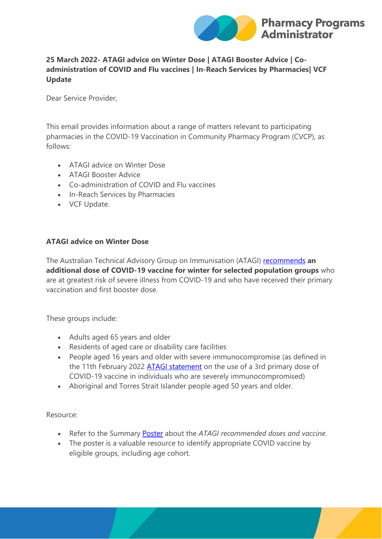

# **25 March 2022- ATAGI advice on Winter Dose | ATAGI Booster Advice | Coadministration of COVID and Flu vaccines | In-Reach Services by Pharmacies| VCF Update**

Dear Service Provider,

This email provides information about a range of matters relevant to participating pharmacies in the COVID-19 Vaccination in Community Pharmacy Program (CVCP), as follows:

- ATAGI advice on Winter Dose
- ATAGI Booster Advice
- Co-administration of COVID and Flu vaccines
- In-Reach Services by Pharmacies
- VCF Update.

### **ATAGI advice on Winter Dose**

The Australian Technical Advisory Group on Immunisation (ATAGI) [recommends](https://protect-au.mimecast.com/s/ATKqC81VZEuwYmWf1QHtr?domain=health.gov.au) **an additional dose of COVID-19 vaccine for winter for selected population groups** who are at greatest risk of severe illness from COVID-19 and who have received their primary vaccination and first booster dose.

These groups include:

- Adults aged 65 years and older
- Residents of aged care or disability care facilities
- People aged 16 years and older with severe immunocompromise (as defined in the 11th February 2022 [ATAGI statement](https://protect-au.mimecast.com/s/cJsdC91WZguY2JAt3shmM?domain=health.gov.au) on the use of a 3rd primary dose of COVID-19 vaccine in individuals who are severely immunocompromised)
- Aboriginal and Torres Strait Islander people aged 50 years and older.

Resource:

- Refer to the Summary [Poster](https://protect-au.mimecast.com/s/vvERC0YKZLIrmnQIWM8Rq?domain=ppaonline.com.au) about the *ATAGI recommended doses and vaccine.*
- The poster is a valuable resource to identify appropriate COVID vaccine by eligible groups, including age cohort.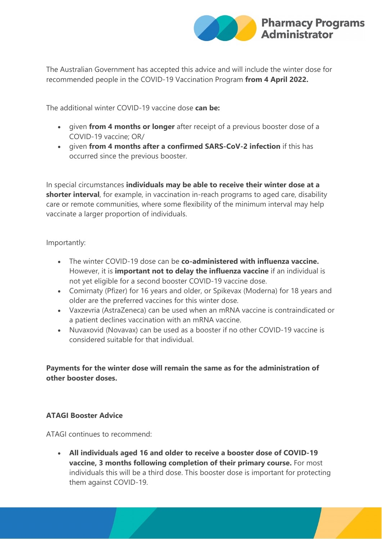

The Australian Government has accepted this advice and will include the winter dose for recommended people in the COVID-19 Vaccination Program **from 4 April 2022.**

The additional winter COVID-19 vaccine dose **can be:**

- given **from 4 months or longer** after receipt of a previous booster dose of a COVID-19 vaccine; OR/
- given **from 4 months after a confirmed SARS-CoV-2 infection** if this has occurred since the previous booster.

In special circumstances **individuals may be able to receive their winter dose at a shorter interval**, for example, in vaccination in-reach programs to aged care, disability care or remote communities, where some flexibility of the minimum interval may help vaccinate a larger proportion of individuals.

Importantly:

- The winter COVID-19 dose can be **co-administered with influenza vaccine.** However, it is **important not to delay the influenza vaccine** if an individual is not yet eligible for a second booster COVID-19 vaccine dose.
- Comirnaty (Pfizer) for 16 years and older, or Spikevax (Moderna) for 18 years and older are the preferred vaccines for this winter dose.
- Vaxzevria (AstraZeneca) can be used when an mRNA vaccine is contraindicated or a patient declines vaccination with an mRNA vaccine.
- Nuvaxovid (Novavax) can be used as a booster if no other COVID-19 vaccine is considered suitable for that individual.

**Payments for the winter dose will remain the same as for the administration of other booster doses.**

## **ATAGI Booster Advice**

ATAGI continues to recommend:

• **All individuals aged 16 and older to receive a booster dose of COVID-19 vaccine, 3 months following completion of their primary course.** For most individuals this will be a third dose. This booster dose is important for protecting them against COVID-19.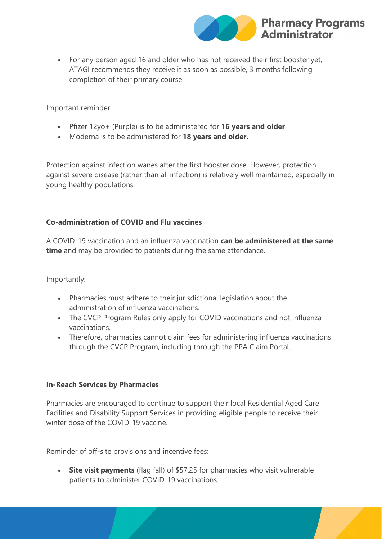

• For any person aged 16 and older who has not received their first booster yet, ATAGI recommends they receive it as soon as possible, 3 months following completion of their primary course.

Important reminder:

- Pfizer 12yo+ (Purple) is to be administered for **16 years and older**
- Moderna is to be administered for **18 years and older.**

Protection against infection wanes after the first booster dose. However, protection against severe disease (rather than all infection) is relatively well maintained, especially in young healthy populations.

### **Co-administration of COVID and Flu vaccines**

A COVID-19 vaccination and an influenza vaccination **can be administered at the same time** and may be provided to patients during the same attendance.

Importantly:

- Pharmacies must adhere to their jurisdictional legislation about the administration of influenza vaccinations.
- The CVCP Program Rules only apply for COVID vaccinations and not influenza vaccinations.
- Therefore, pharmacies cannot claim fees for administering influenza vaccinations through the CVCP Program, including through the PPA Claim Portal.

#### **In-Reach Services by Pharmacies**

Pharmacies are encouraged to continue to support their local Residential Aged Care Facilities and Disability Support Services in providing eligible people to receive their winter dose of the COVID-19 vaccine.

Reminder of off-site provisions and incentive fees:

• **Site visit payments** (flag fall) of \$57.25 for pharmacies who visit vulnerable patients to administer COVID-19 vaccinations.